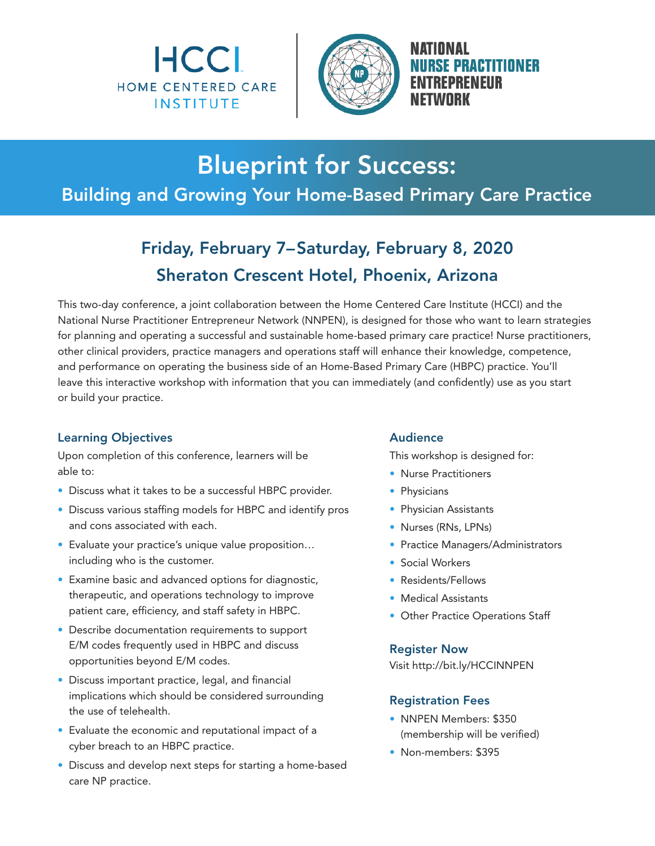



NATIONAL **ISE PRACTITIONER 'REPRENEIIR** NFTWNRK

# Blueprint for Success:

## Building and Growing Your Home-Based Primary Care Practice

## Friday, February 7–Saturday, February 8, 2020 Sheraton Crescent Hotel, Phoenix, Arizona

This two-day conference, a joint collaboration between the Home Centered Care Institute (HCCI) and the National Nurse Practitioner Entrepreneur Network (NNPEN), is designed for those who want to learn strategies for planning and operating a successful and sustainable home-based primary care practice! Nurse practitioners, other clinical providers, practice managers and operations staff will enhance their knowledge, competence, and performance on operating the business side of an Home-Based Primary Care (HBPC) practice. You'll leave this interactive workshop with information that you can immediately (and confidently) use as you start or build your practice.

### Learning Objectives

Upon completion of this conference, learners will be able to:

- Discuss what it takes to be a successful HBPC provider.
- Discuss various staffing models for HBPC and identify pros and cons associated with each.
- Evaluate your practice's unique value proposition… including who is the customer.
- Examine basic and advanced options for diagnostic, therapeutic, and operations technology to improve patient care, efficiency, and staff safety in HBPC.
- Describe documentation requirements to support E/M codes frequently used in HBPC and discuss opportunities beyond E/M codes.
- Discuss important practice, legal, and financial implications which should be considered surrounding the use of telehealth.
- Evaluate the economic and reputational impact of a cyber breach to an HBPC practice.
- Discuss and develop next steps for starting a home-based care NP practice.

### Audience

This workshop is designed for:

- Nurse Practitioners
- Physicians
- Physician Assistants
- Nurses (RNs, LPNs)
- Practice Managers/Administrators
- Social Workers
- Residents/Fellows
- Medical Assistants
- Other Practice Operations Staff

#### Register Now

Visit http://bit.ly/HCCINNPEN

### Registration Fees

- NNPEN Members: \$350 (membership will be verified)
- Non-members: \$395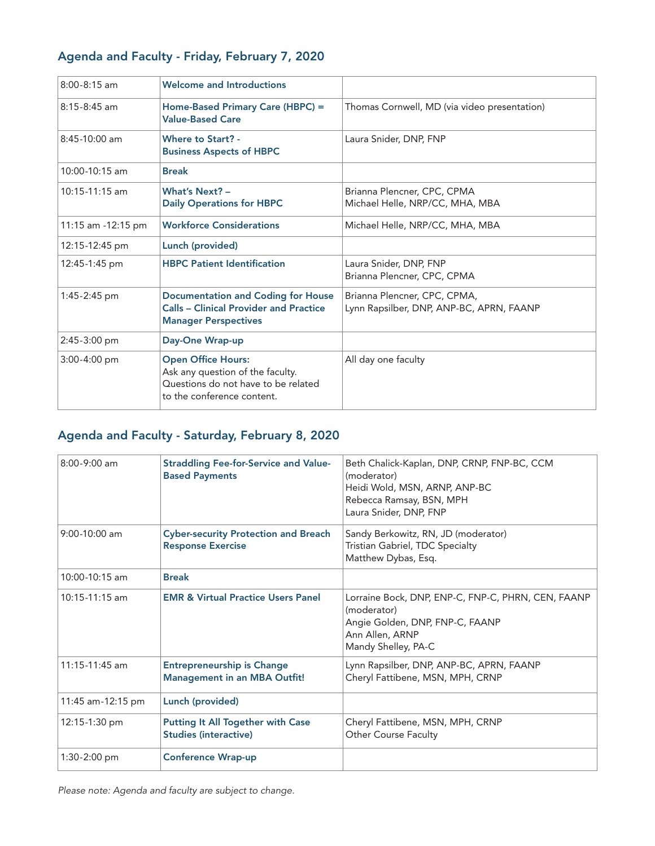| $8:00 - 8:15$ am   | <b>Welcome and Introductions</b>                                                                                                   |                                                                          |
|--------------------|------------------------------------------------------------------------------------------------------------------------------------|--------------------------------------------------------------------------|
| $8:15-8:45$ am     | Home-Based Primary Care (HBPC) =<br><b>Value-Based Care</b>                                                                        | Thomas Cornwell, MD (via video presentation)                             |
| 8:45-10:00 am      | <b>Where to Start? -</b><br><b>Business Aspects of HBPC</b>                                                                        | Laura Snider, DNP, FNP                                                   |
| 10:00-10:15 am     | <b>Break</b>                                                                                                                       |                                                                          |
| $10:15-11:15$ am   | What's Next? -<br><b>Daily Operations for HBPC</b>                                                                                 | Brianna Plencner, CPC, CPMA<br>Michael Helle, NRP/CC, MHA, MBA           |
| 11:15 am -12:15 pm | <b>Workforce Considerations</b>                                                                                                    | Michael Helle, NRP/CC, MHA, MBA                                          |
| 12:15-12:45 pm     | Lunch (provided)                                                                                                                   |                                                                          |
| 12:45-1:45 pm      | <b>HBPC Patient Identification</b>                                                                                                 | Laura Snider, DNP, FNP<br>Brianna Plencner, CPC, CPMA                    |
| 1:45-2:45 pm       | <b>Documentation and Coding for House</b><br><b>Calls - Clinical Provider and Practice</b><br><b>Manager Perspectives</b>          | Brianna Plencner, CPC, CPMA,<br>Lynn Rapsilber, DNP, ANP-BC, APRN, FAANP |
| $2:45-3:00$ pm     | Day-One Wrap-up                                                                                                                    |                                                                          |
| $3:00 - 4:00$ pm   | <b>Open Office Hours:</b><br>Ask any question of the faculty.<br>Questions do not have to be related<br>to the conference content. | All day one faculty                                                      |

## Agenda and Faculty - Friday, February 7, 2020

## Agenda and Faculty - Saturday, February 8, 2020

| $8:00-9:00$ am    | <b>Straddling Fee-for-Service and Value-</b><br><b>Based Payments</b>    | Beth Chalick-Kaplan, DNP, CRNP, FNP-BC, CCM<br>(moderator)<br>Heidi Wold, MSN, ARNP, ANP-BC<br>Rebecca Ramsay, BSN, MPH<br>Laura Snider, DNP, FNP |
|-------------------|--------------------------------------------------------------------------|---------------------------------------------------------------------------------------------------------------------------------------------------|
| $9:00-10:00$ am   | <b>Cyber-security Protection and Breach</b><br><b>Response Exercise</b>  | Sandy Berkowitz, RN, JD (moderator)<br>Tristian Gabriel, TDC Specialty<br>Matthew Dybas, Esq.                                                     |
| 10:00-10:15 am    | <b>Break</b>                                                             |                                                                                                                                                   |
| $10:15-11:15$ am  | <b>EMR &amp; Virtual Practice Users Panel</b>                            | Lorraine Bock, DNP, ENP-C, FNP-C, PHRN, CEN, FAANP<br>(moderator)<br>Angie Golden, DNP, FNP-C, FAANP<br>Ann Allen, ARNP<br>Mandy Shelley, PA-C    |
| 11:15-11:45 am    | <b>Entrepreneurship is Change</b><br><b>Management in an MBA Outfit!</b> | Lynn Rapsilber, DNP, ANP-BC, APRN, FAANP<br>Cheryl Fattibene, MSN, MPH, CRNP                                                                      |
| 11:45 am-12:15 pm | Lunch (provided)                                                         |                                                                                                                                                   |
| 12:15-1:30 pm     | <b>Putting It All Together with Case</b><br><b>Studies (interactive)</b> | Cheryl Fattibene, MSN, MPH, CRNP<br><b>Other Course Faculty</b>                                                                                   |
| 1:30-2:00 pm      | <b>Conference Wrap-up</b>                                                |                                                                                                                                                   |

Please note: Agenda and faculty are subject to change.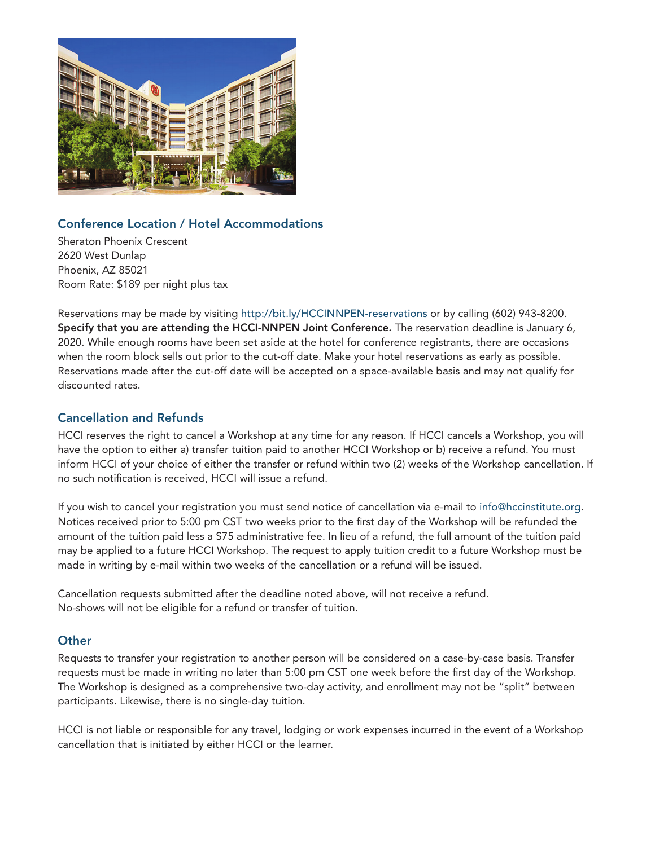

## Conference Location / Hotel Accommodations

Sheraton Phoenix Crescent 2620 West Dunlap Phoenix, AZ 85021 Room Rate: \$189 per night plus tax

Reservations may be made by visiting http://bit.ly/HCCINNPEN-reservations or by calling (602) 943-8200. Specify that you are attending the HCCI-NNPEN Joint Conference. The reservation deadline is January 6, 2020. While enough rooms have been set aside at the hotel for conference registrants, there are occasions when the room block sells out prior to the cut-off date. Make your hotel reservations as early as possible. Reservations made after the cut-off date will be accepted on a space-available basis and may not qualify for discounted rates.

## Cancellation and Refunds

HCCI reserves the right to cancel a Workshop at any time for any reason. If HCCI cancels a Workshop, you will have the option to either a) transfer tuition paid to another HCCI Workshop or b) receive a refund. You must inform HCCI of your choice of either the transfer or refund within two (2) weeks of the Workshop cancellation. If no such notification is received, HCCI will issue a refund.

If you wish to cancel your registration you must send notice of cancellation via e-mail to info@hccinstitute.org. Notices received prior to 5:00 pm CST two weeks prior to the first day of the Workshop will be refunded the amount of the tuition paid less a \$75 administrative fee. In lieu of a refund, the full amount of the tuition paid may be applied to a future HCCI Workshop. The request to apply tuition credit to a future Workshop must be made in writing by e-mail within two weeks of the cancellation or a refund will be issued.

Cancellation requests submitted after the deadline noted above, will not receive a refund. No-shows will not be eligible for a refund or transfer of tuition.

### **Other**

Requests to transfer your registration to another person will be considered on a case-by-case basis. Transfer requests must be made in writing no later than 5:00 pm CST one week before the first day of the Workshop. The Workshop is designed as a comprehensive two-day activity, and enrollment may not be "split" between participants. Likewise, there is no single-day tuition.

HCCI is not liable or responsible for any travel, lodging or work expenses incurred in the event of a Workshop cancellation that is initiated by either HCCI or the learner.